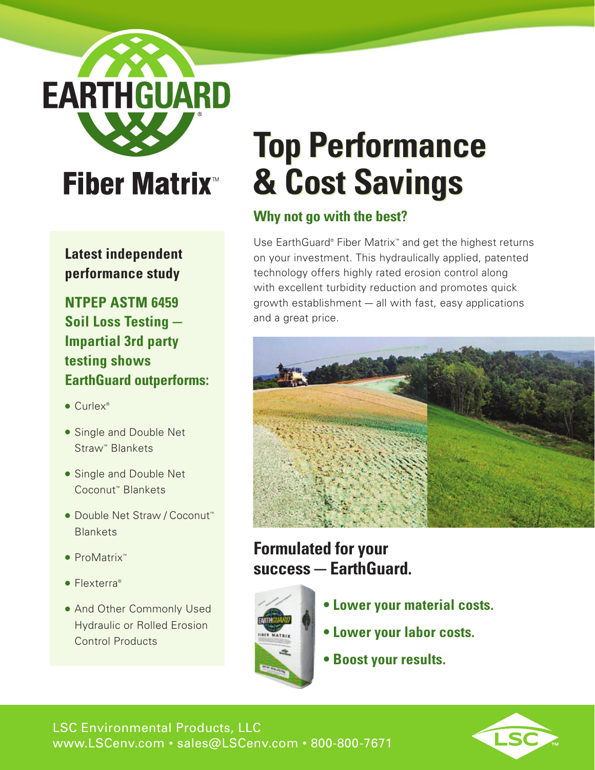**EARTHGUARD** 

## **Fiber Matrix**<sup>™</sup>

**Latest independent performance study**

**NTPEP ASTM 6459 Soil Loss Testing — Impartial 3rd party testing shows EarthGuard outperforms:**

- Curlex<sup>®</sup>
- Single and Double Net Straw™ Blankets
- Single and Double Net Coconut™ Blankets
- Double Net Straw / Coconut™ Blankets
- ProMatrix™
- Flexterra<sup>®</sup>
- And Other Commonly Used Hydraulic or Rolled Erosion Control Products

# **Top Performance & Cost Savings**

### **Why not go with the best?**

Use EarthGuard® Fiber Matrix<sup>™</sup> and get the highest returns on your investment. This hydraulically applied, patented technology offers highly rated erosion control along with excellent turbidity reduction and promotes quick growth establishment — all with fast, easy applications and a great price.



## **Formulated for your success — EarthGuard.**



- **Lower your material costs.**
- **Lower your labor costs.**
- **Boost your results.**

LSC Environmental Products, LLC www.LSCenv.com • sales@LSCenv.com • 800-800-7671